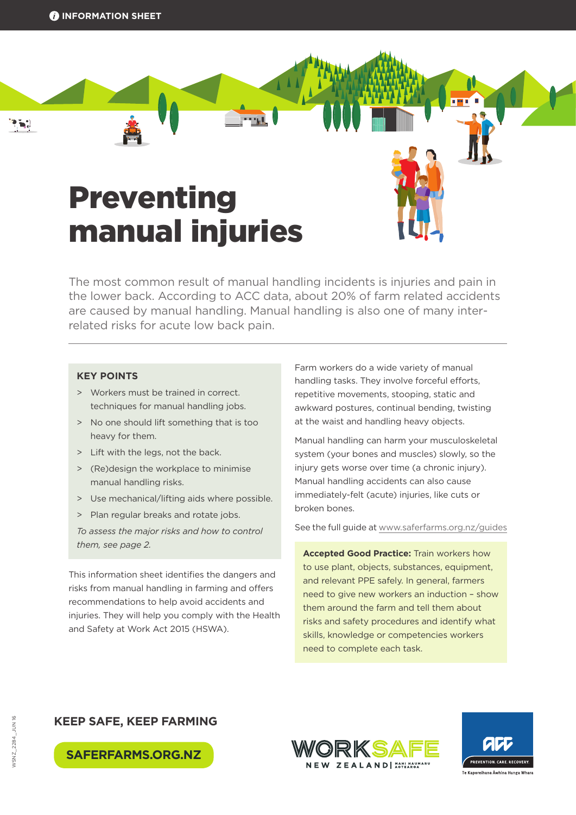# Preventing manual injuries

The most common result of manual handling incidents is injuries and pain in the lower back. According to ACC data, about 20% of farm related accidents are caused by manual handling. Manual handling is also one of many interrelated risks for acute low back pain.

#### **KEY POINTS**

- > Workers must be trained in correct. techniques for manual handling jobs.
- > No one should lift something that is too heavy for them.
- > Lift with the legs, not the back.
- > (Re)design the workplace to minimise manual handling risks.
- > Use mechanical/lifting aids where possible.
- > Plan regular breaks and rotate jobs.

*To assess the major risks and how to control them, see page 2.*

This information sheet identifies the dangers and risks from manual handling in farming and offers recommendations to help avoid accidents and injuries. They will help you comply with the Health and Safety at Work Act 2015 (HSWA).

Farm workers do a wide variety of manual handling tasks. They involve forceful efforts, repetitive movements, stooping, static and awkward postures, continual bending, twisting at the waist and handling heavy objects.

Manual handling can harm your musculoskeletal system (your bones and muscles) slowly, so the injury gets worse over time (a chronic injury). Manual handling accidents can also cause immediately-felt (acute) injuries, like cuts or broken bones.

See the full guide at [www.saferfarms.org.nz/guides](http://www.saferfarms.org.nz/guides)

**Accepted Good Practice:** Train workers how to use plant, objects, substances, equipment, and relevant PPE safely. In general, farmers need to give new workers an induction – show them around the farm and tell them about risks and safety procedures and identify what skills, knowledge or competencies workers need to complete each task.

## **KEEP SAFE, KEEP FARMING**





**SAFERFARMS.ORG.NZ**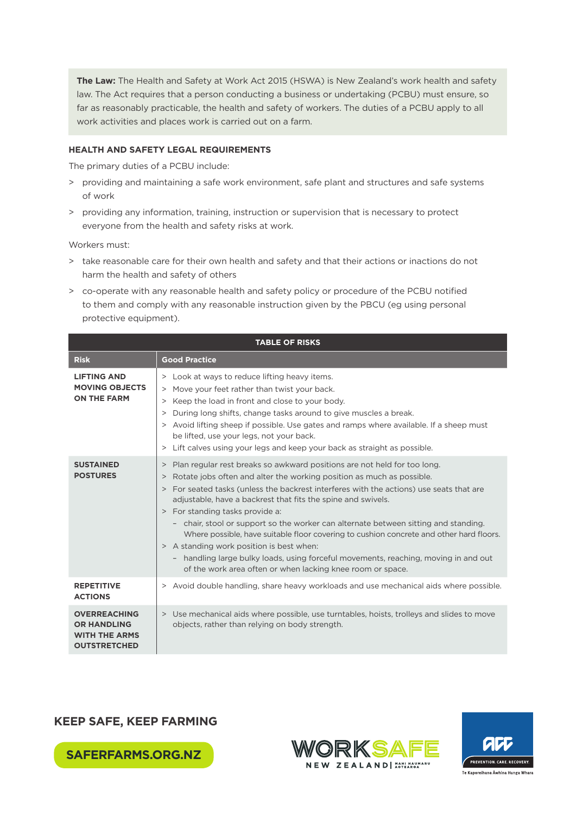**The Law:** The Health and Safety at Work Act 2015 (HSWA) is New Zealand's work health and safety law. The Act requires that a person conducting a business or undertaking (PCBU) must ensure, so far as reasonably practicable, the health and safety of workers. The duties of a PCBU apply to all work activities and places work is carried out on a farm.

#### **HEALTH AND SAFETY LEGAL REQUIREMENTS**

The primary duties of a PCBU include:

- > providing and maintaining a safe work environment, safe plant and structures and safe systems of work
- > providing any information, training, instruction or supervision that is necessary to protect everyone from the health and safety risks at work.

Workers must:

- > take reasonable care for their own health and safety and that their actions or inactions do not harm the health and safety of others
- > co-operate with any reasonable health and safety policy or procedure of the PCBU notified to them and comply with any reasonable instruction given by the PBCU (eg using personal protective equipment).

| <b>TABLE OF RISKS</b>                                                                    |                                                                                                                                                                                                                                                                                                                                                                                                                                                                                                                                                                                                                                                                                                                                           |
|------------------------------------------------------------------------------------------|-------------------------------------------------------------------------------------------------------------------------------------------------------------------------------------------------------------------------------------------------------------------------------------------------------------------------------------------------------------------------------------------------------------------------------------------------------------------------------------------------------------------------------------------------------------------------------------------------------------------------------------------------------------------------------------------------------------------------------------------|
| <b>Risk</b>                                                                              | <b>Good Practice</b>                                                                                                                                                                                                                                                                                                                                                                                                                                                                                                                                                                                                                                                                                                                      |
| <b>LIFTING AND</b><br><b>MOVING OBJECTS</b><br><b>ON THE FARM</b>                        | > Look at ways to reduce lifting heavy items.<br>> Move your feet rather than twist your back.<br>> Keep the load in front and close to your body.<br>> During long shifts, change tasks around to give muscles a break.<br>> Avoid lifting sheep if possible. Use gates and ramps where available. If a sheep must<br>be lifted, use your legs, not your back.<br>> Lift calves using your legs and keep your back as straight as possible.                                                                                                                                                                                                                                                                                              |
| <b>SUSTAINED</b><br><b>POSTURES</b>                                                      | Plan regular rest breaks so awkward positions are not held for too long.<br>><br>> Rotate jobs often and alter the working position as much as possible.<br>> For seated tasks (unless the backrest interferes with the actions) use seats that are<br>adjustable, have a backrest that fits the spine and swivels.<br>> For standing tasks provide a:<br>- chair, stool or support so the worker can alternate between sitting and standing.<br>Where possible, have suitable floor covering to cushion concrete and other hard floors.<br>> A standing work position is best when:<br>- handling large bulky loads, using forceful movements, reaching, moving in and out<br>of the work area often or when lacking knee room or space. |
| <b>REPETITIVE</b><br><b>ACTIONS</b>                                                      | > Avoid double handling, share heavy workloads and use mechanical aids where possible.                                                                                                                                                                                                                                                                                                                                                                                                                                                                                                                                                                                                                                                    |
| <b>OVERREACHING</b><br><b>OR HANDLING</b><br><b>WITH THE ARMS</b><br><b>OUTSTRETCHED</b> | > Use mechanical aids where possible, use turntables, hoists, trolleys and slides to move<br>objects, rather than relying on body strength.                                                                                                                                                                                                                                                                                                                                                                                                                                                                                                                                                                                               |

## **KEEP SAFE, KEEP FARMING**

**SAFERFARMS.ORG.NZ**